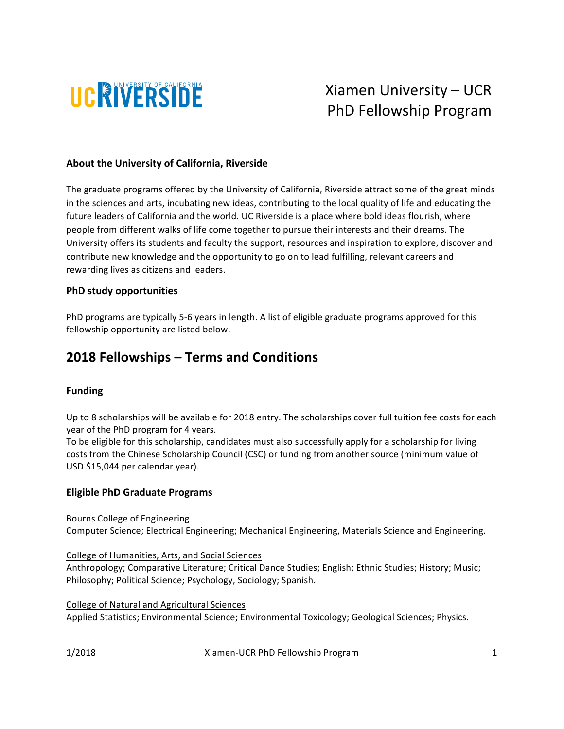

 Xiamen University – UCR PhD Fellowship Program

### **About the University of California, Riverside**

The graduate programs offered by the University of California, Riverside attract some of the great minds in the sciences and arts, incubating new ideas, contributing to the local quality of life and educating the future leaders of California and the world. UC Riverside is a place where bold ideas flourish, where people from different walks of life come together to pursue their interests and their dreams. The University offers its students and faculty the support, resources and inspiration to explore, discover and contribute new knowledge and the opportunity to go on to lead fulfilling, relevant careers and rewarding lives as citizens and leaders.

#### **PhD** study opportunities

PhD programs are typically 5-6 years in length. A list of eligible graduate programs approved for this fellowship opportunity are listed below.

# **2018 Fellowships – Terms and Conditions**

### **Funding**

Up to 8 scholarships will be available for 2018 entry. The scholarships cover full tuition fee costs for each year of the PhD program for 4 years.

To be eligible for this scholarship, candidates must also successfully apply for a scholarship for living costs from the Chinese Scholarship Council (CSC) or funding from another source (minimum value of USD \$15,044 per calendar year).

#### **Eligible PhD Graduate Programs**

Bourns College of Engineering

Computer Science; Electrical Engineering; Mechanical Engineering, Materials Science and Engineering.

College of Humanities, Arts, and Social Sciences

Anthropology; Comparative Literature; Critical Dance Studies; English; Ethnic Studies; History; Music; Philosophy; Political Science; Psychology, Sociology; Spanish.

College of Natural and Agricultural Sciences Applied Statistics; Environmental Science; Environmental Toxicology; Geological Sciences; Physics.

1/2018 **Xiamen-UCR** PhD Fellowship Program **1**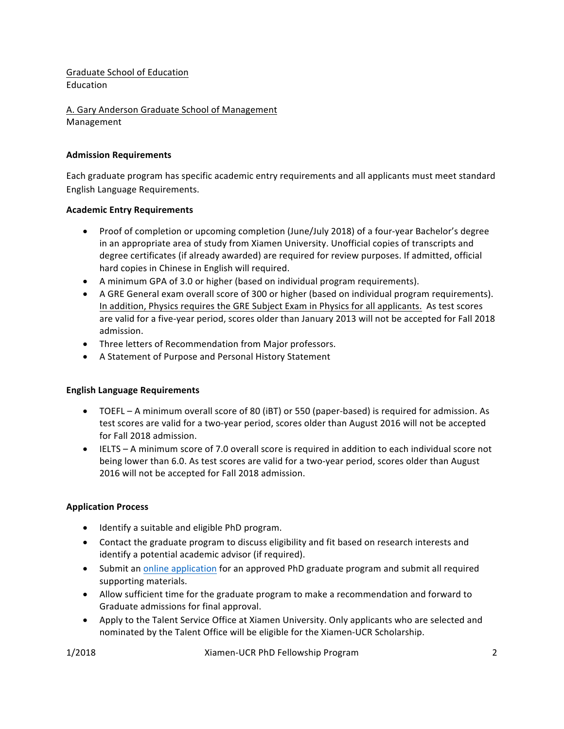Graduate School of Education Education

A. Gary Anderson Graduate School of Management Management

### **Admission Requirements**

Each graduate program has specific academic entry requirements and all applicants must meet standard English Language Requirements.

### **Academic Entry Requirements**

- Proof of completion or upcoming completion (June/July 2018) of a four-year Bachelor's degree in an appropriate area of study from Xiamen University. Unofficial copies of transcripts and degree certificates (if already awarded) are required for review purposes. If admitted, official hard copies in Chinese in English will required.
- A minimum GPA of 3.0 or higher (based on individual program requirements).
- A GRE General exam overall score of 300 or higher (based on individual program requirements). In addition, Physics requires the GRE Subject Exam in Physics for all applicants. As test scores are valid for a five-year period, scores older than January 2013 will not be accepted for Fall 2018 admission.
- Three letters of Recommendation from Major professors.
- A Statement of Purpose and Personal History Statement

### **English Language Requirements**

- TOEFL A minimum overall score of 80 (iBT) or 550 (paper-based) is required for admission. As test scores are valid for a two-year period, scores older than August 2016 will not be accepted for Fall 2018 admission.
- IELTS A minimum score of 7.0 overall score is required in addition to each individual score not being lower than 6.0. As test scores are valid for a two-year period, scores older than August 2016 will not be accepted for Fall 2018 admission.

### **Application Process**

- Identify a suitable and eligible PhD program.
- Contact the graduate program to discuss eligibility and fit based on research interests and identify a potential academic advisor (if required).
- Submit an online application for an approved PhD graduate program and submit all required supporting materials.
- Allow sufficient time for the graduate program to make a recommendation and forward to Graduate admissions for final approval.
- Apply to the Talent Service Office at Xiamen University. Only applicants who are selected and nominated by the Talent Office will be eligible for the Xiamen-UCR Scholarship.

1/2018 **Xiamen-UCR** PhD Fellowship Program **2**